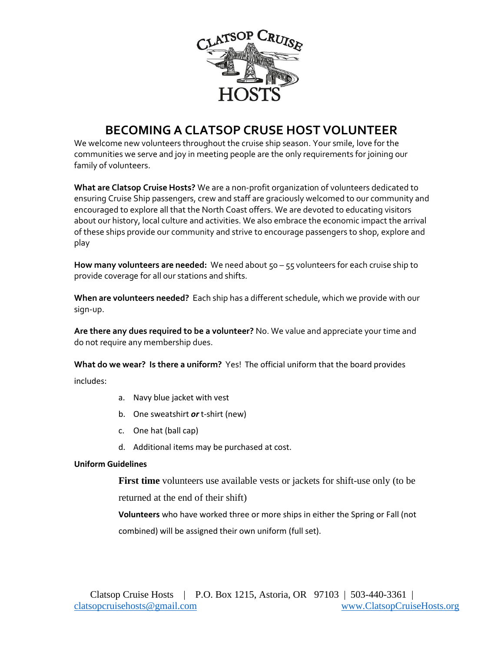

## **BECOMING A CLATSOP CRUSE HOST VOLUNTEER**

We welcome new volunteers throughout the cruise ship season. Your smile, love for the communities we serve and joy in meeting people are the only requirements for joining our family of volunteers.

**What are Clatsop Cruise Hosts?** We are a non-profit organization of volunteers dedicated to ensuring Cruise Ship passengers, crew and staff are graciously welcomed to our community and encouraged to explore all that the North Coast offers. We are devoted to educating visitors about our history, local culture and activities. We also embrace the economic impact the arrival of these ships provide our community and strive to encourage passengers to shop, explore and play

**How many volunteers are needed:** We need about 50 – 55 volunteers for each cruise ship to provide coverage for all our stations and shifts.

**When are volunteers needed?** Each ship has a different schedule, which we provide with our sign-up.

**Are there any dues required to be a volunteer?** No. We value and appreciate your time and do not require any membership dues.

**What do we wear? Is there a uniform?** Yes! The official uniform that the board provides

includes:

- a. Navy blue jacket with vest
- b. One sweatshirt *or* t-shirt (new)
- c. One hat (ball cap)
- d. Additional items may be purchased at cost.

## **Uniform Guidelines**

**First time** volunteers use available vests or jackets for shift-use only (to be returned at the end of their shift)

**Volunteers** who have worked three or more ships in either the Spring or Fall (not combined) will be assigned their own uniform (full set).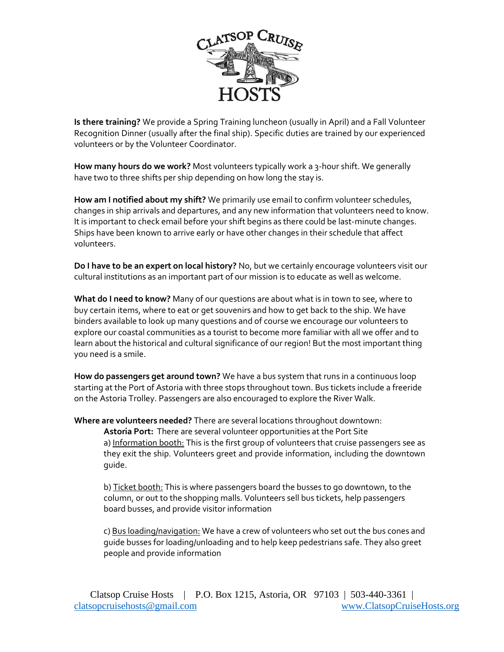

**Is there training?** We provide a Spring Training luncheon (usually in April) and a Fall Volunteer Recognition Dinner (usually after the final ship). Specific duties are trained by our experienced volunteers or by the Volunteer Coordinator.

**How many hours do we work?** Most volunteers typically work a 3-hour shift. We generally have two to three shifts per ship depending on how long the stay is.

**How am I notified about my shift?** We primarily use email to confirm volunteer schedules, changes in ship arrivals and departures, and any new information that volunteers need to know. It is important to check email before your shift begins as there could be last-minute changes. Ships have been known to arrive early or have other changes in their schedule that affect volunteers.

**Do I have to be an expert on local history?** No, but we certainly encourage volunteers visit our cultural institutions as an important part of our mission is to educate as well as welcome.

**What do I need to know?** Many of our questions are about what is in town to see, where to buy certain items, where to eat or get souvenirs and how to get back to the ship. We have binders available to look up many questions and of course we encourage our volunteers to explore our coastal communities as a tourist to become more familiar with all we offer and to learn about the historical and cultural significance of our region! But the most important thing you need is a smile.

**How do passengers get around town?** We have a bus system that runs in a continuous loop starting at the Port of Astoria with three stops throughout town. Bus tickets include a freeride on the Astoria Trolley. Passengers are also encouraged to explore the River Walk.

**Where are volunteers needed?** There are several locations throughout downtown: **Astoria Port:** There are several volunteer opportunities at the Port Site a) Information booth: This is the first group of volunteers that cruise passengers see as they exit the ship. Volunteers greet and provide information, including the downtown guide.

b) Ticket booth: This is where passengers board the busses to go downtown, to the column, or out to the shopping malls. Volunteers sell bus tickets, help passengers board busses, and provide visitor information

c) Bus loading/navigation: We have a crew of volunteers who set out the bus cones and guide busses for loading/unloading and to help keep pedestrians safe. They also greet people and provide information